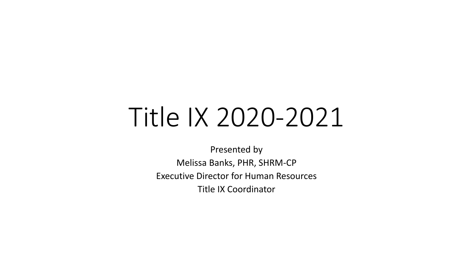# Title IX 2020-2021

Presented by Melissa Banks, PHR, SHRM-CP Executive Director for Human Resources Title IX Coordinator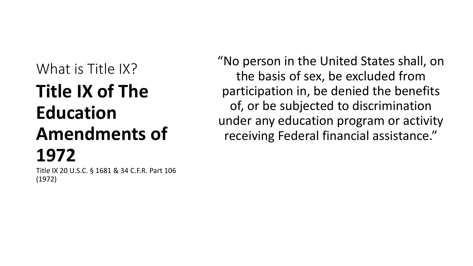## What is Title IX? **Title IX of The Education Amendments of 1972**

Title IX 20 U.S.C. § 1681 & 34 C.F.R. Part 106 (1972)

"No person in the United States shall, on the basis of sex, be excluded from participation in, be denied the benefits of, or be subjected to discrimination under any education program or activity receiving Federal financial assistance."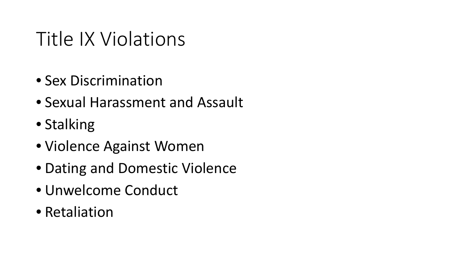## Title IX Violations

- Sex Discrimination
- Sexual Harassment and Assault
- Stalking
- Violence Against Women
- Dating and Domestic Violence
- Unwelcome Conduct
- Retaliation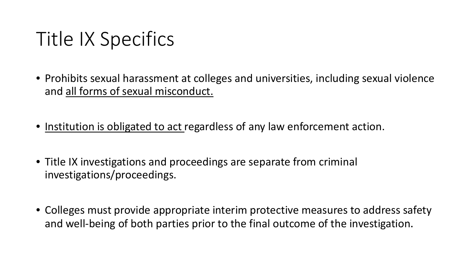## Title IX Specifics

- Prohibits sexual harassment at colleges and universities, including sexual violence and all forms of sexual misconduct.
- Institution is obligated to act regardless of any law enforcement action.
- Title IX investigations and proceedings are separate from criminal investigations/proceedings.
- Colleges must provide appropriate interim protective measures to address safety and well-being of both parties prior to the final outcome of the investigation.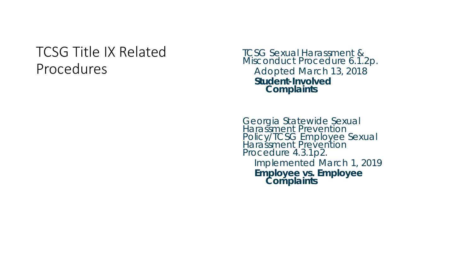## TCSG Title IX Related Procedures

TCSG Sexual Harassment & Misconduct Procedure 6.1.2p. Adopted March 13, 2018 **Student -Involved Complaints**

Georgia Statewide Sexual Harassment Prevention Policy/TCSG Employee Sexual Harassment Prevention Procedure 4.3.1p2. Implemented March 1, 2019 **Employee vs. Employee Complaints**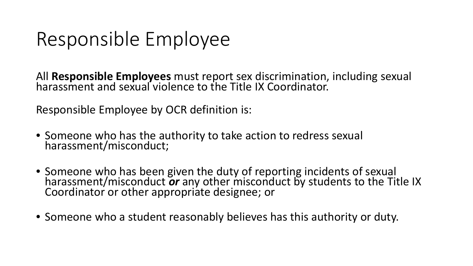## Responsible Employee

All **Responsible Employees** must report sex discrimination, including sexual harassment and sexual violence to the Title IX Coordinator.

Responsible Employee by OCR definition is:

- Someone who has the authority to take action to redress sexual harassment/misconduct;
- Someone who has been given the duty of reporting incidents of sexual harassment/misconduct *or* any other misconduct by students to the Title IX Coordinator or other appropriate designee; or
- Someone who a student reasonably believes has this authority or duty.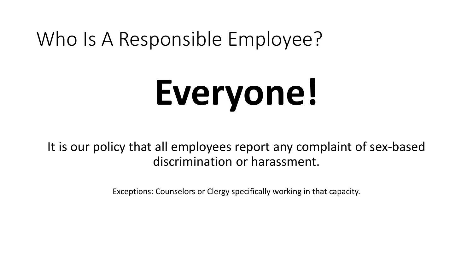## Who Is A Responsible Employee?

# **Everyone!**

It is our policy that all employees report any complaint of sex-based discrimination or harassment.

Exceptions: Counselors or Clergy specifically working in that capacity.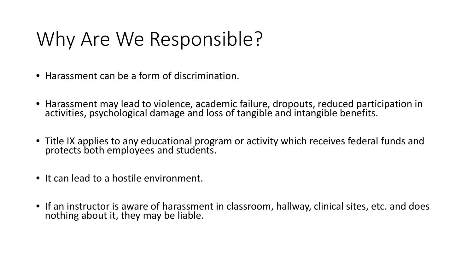# Why Are We Responsible?

- Harassment can be a form of discrimination.
- Harassment may lead to violence, academic failure, dropouts, reduced participation in activities, psychological damage and loss of tangible and intangible benefits.
- Title IX applies to any educational program or activity which receives federal funds and protects both employees and students.
- It can lead to a hostile environment.
- If an instructor is aware of harassment in classroom, hallway, clinical sites, etc. and does nothing about it, they may be liable.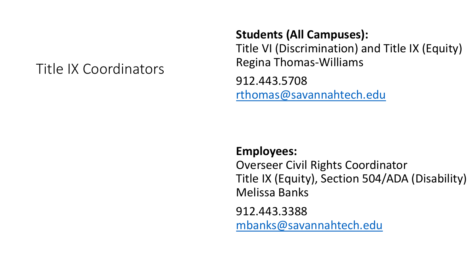## Title IX Coordinators

#### **Students (All Campuses):**

Title VI (Discrimination) and Title IX (Equity) Regina Thomas-Williams

912.443.5708 [rthomas@savannahtech.edu](mailto:rthomas@savannahtech.edu)

#### **Employees:**

Overseer Civil Rights Coordinator Title IX (Equity), Section 504/ADA (Disability) Melissa Banks

912.443.3388

[mbanks@savannahtech.edu](mailto:mbanks@savannahtech.edu)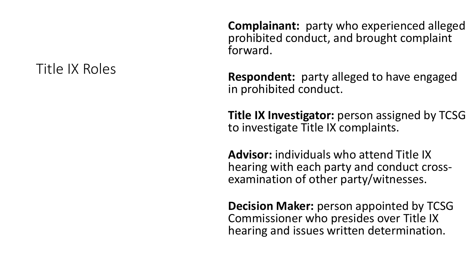## Title IX Roles

**Complainant:** party who experienced alleged prohibited conduct, and brought complaint forward.

**Respondent:** party alleged to have engaged in prohibited conduct.

**Title IX Investigator:** person assigned by TCSG to investigate Title IX complaints.

**Advisor:** individuals who attend Title IX hearing with each party and conduct cross- examination of other party/witnesses.

**Decision Maker:** person appointed by TCSG Commissioner who presides over Title IX hearing and issues written determination.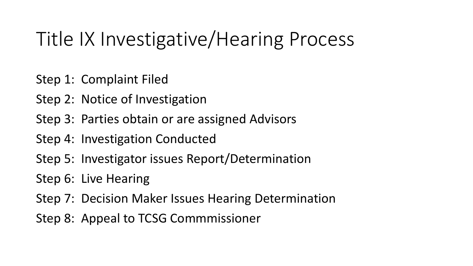## Title IX Investigative/Hearing Process

Step 1: Complaint Filed

- Step 2: Notice of Investigation
- Step 3: Parties obtain or are assigned Advisors
- Step 4: Investigation Conducted
- Step 5: Investigator issues Report/Determination
- Step 6: Live Hearing
- Step 7: Decision Maker Issues Hearing Determination
- Step 8: Appeal to TCSG Commmissioner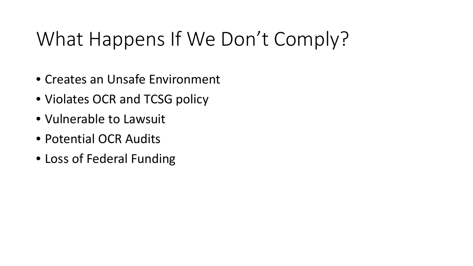# What Happens If We Don't Comply?

- Creates an Unsafe Environment
- Violates OCR and TCSG policy
- Vulnerable to Lawsuit
- Potential OCR Audits
- Loss of Federal Funding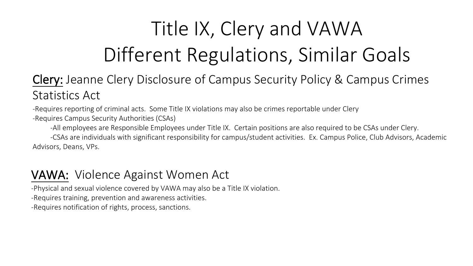# Title IX, Clery and VAWA Different Regulations, Similar Goals

## Clery: Jeanne Clery Disclosure of Campus Security Policy & Campus Crimes Statistics Act

-Requires reporting of criminal acts. Some Title IX violations may also be crimes reportable under Clery -Requires Campus Security Authorities (CSAs)

-All employees are Responsible Employees under Title IX. Certain positions are also required to be CSAs under Clery.

 -CSAs are individuals with significant responsibility for campus/student activities. Ex. Campus Police, Club Advisors, Academic Advisors, Deans, VPs.

#### VAWA: Violence Against Women Act

-Physical and sexual violence covered by VAWA may also be a Title IX violation.

-Requires training, prevention and awareness activities.

-Requires notification of rights, process, sanctions.